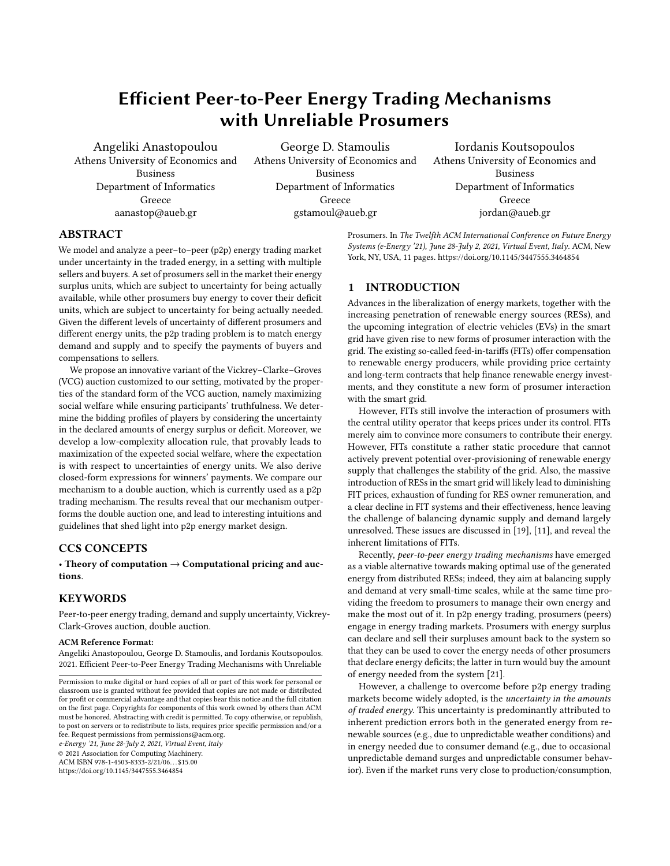# Efficient Peer-to-Peer Energy Trading Mechanisms with Unreliable Prosumers

Angeliki Anastopoulou Athens University of Economics and Business Department of Informatics Greece aanastop@aueb.gr

George D. Stamoulis Athens University of Economics and Business Department of Informatics Greece gstamoul@aueb.gr

Iordanis Koutsopoulos Athens University of Economics and Business Department of Informatics Greece jordan@aueb.gr

# ABSTRACT

We model and analyze a peer–to–peer (p2p) energy trading market under uncertainty in the traded energy, in a setting with multiple sellers and buyers. A set of prosumers sell in the market their energy surplus units, which are subject to uncertainty for being actually available, while other prosumers buy energy to cover their deficit units, which are subject to uncertainty for being actually needed. Given the different levels of uncertainty of different prosumers and different energy units, the p2p trading problem is to match energy demand and supply and to specify the payments of buyers and compensations to sellers.

We propose an innovative variant of the Vickrey–Clarke–Groves (VCG) auction customized to our setting, motivated by the properties of the standard form of the VCG auction, namely maximizing social welfare while ensuring participants' truthfulness. We determine the bidding profiles of players by considering the uncertainty in the declared amounts of energy surplus or deficit. Moreover, we develop a low-complexity allocation rule, that provably leads to maximization of the expected social welfare, where the expectation is with respect to uncertainties of energy units. We also derive closed-form expressions for winners' payments. We compare our mechanism to a double auction, which is currently used as a p2p trading mechanism. The results reveal that our mechanism outperforms the double auction one, and lead to interesting intuitions and guidelines that shed light into p2p energy market design.

## CCS CONCEPTS

• Theory of computation  $\rightarrow$  Computational pricing and auctions.

## **KEYWORDS**

Peer-to-peer energy trading, demand and supply uncertainty, Vickrey-Clark-Groves auction, double auction.

#### ACM Reference Format:

Angeliki Anastopoulou, George D. Stamoulis, and Iordanis Koutsopoulos. 2021. Efficient Peer-to-Peer Energy Trading Mechanisms with Unreliable

e-Energy '21, June 28-July 2, 2021, Virtual Event, Italy

© 2021 Association for Computing Machinery.

ACM ISBN 978-1-4503-8333-2/21/06. . . \$15.00

<https://doi.org/10.1145/3447555.3464854>

Prosumers. In The Twelfth ACM International Conference on Future Energy Systems (e-Energy '21), June 28-July 2, 2021, Virtual Event, Italy. ACM, New York, NY, USA, [11](#page-10-0) pages.<https://doi.org/10.1145/3447555.3464854>

# 1 INTRODUCTION

Advances in the liberalization of energy markets, together with the increasing penetration of renewable energy sources (RESs), and the upcoming integration of electric vehicles (EVs) in the smart grid have given rise to new forms of prosumer interaction with the grid. The existing so-called feed-in-tariffs (FITs) offer compensation to renewable energy producers, while providing price certainty and long-term contracts that help finance renewable energy investments, and they constitute a new form of prosumer interaction with the smart grid.

However, FITs still involve the interaction of prosumers with the central utility operator that keeps prices under its control. FITs merely aim to convince more consumers to contribute their energy. However, FITs constitute a rather static procedure that cannot actively prevent potential over-provisioning of renewable energy supply that challenges the stability of the grid. Also, the massive introduction of RESs in the smart grid will likely lead to diminishing FIT prices, exhaustion of funding for RES owner remuneration, and a clear decline in FIT systems and their effectiveness, hence leaving the challenge of balancing dynamic supply and demand largely unresolved. These issues are discussed in [\[19\]](#page-10-1), [\[11\]](#page-10-2), and reveal the inherent limitations of FITs.

Recently, peer-to-peer energy trading mechanisms have emerged as a viable alternative towards making optimal use of the generated energy from distributed RESs; indeed, they aim at balancing supply and demand at very small-time scales, while at the same time providing the freedom to prosumers to manage their own energy and make the most out of it. In p2p energy trading, prosumers (peers) engage in energy trading markets. Prosumers with energy surplus can declare and sell their surpluses amount back to the system so that they can be used to cover the energy needs of other prosumers that declare energy deficits; the latter in turn would buy the amount of energy needed from the system [\[21\]](#page-10-3).

However, a challenge to overcome before p2p energy trading markets become widely adopted, is the uncertainty in the amounts of traded energy. This uncertainty is predominantly attributed to inherent prediction errors both in the generated energy from renewable sources (e.g., due to unpredictable weather conditions) and in energy needed due to consumer demand (e.g., due to occasional unpredictable demand surges and unpredictable consumer behavior). Even if the market runs very close to production/consumption,

Permission to make digital or hard copies of all or part of this work for personal or classroom use is granted without fee provided that copies are not made or distributed for profit or commercial advantage and that copies bear this notice and the full citation on the first page. Copyrights for components of this work owned by others than ACM must be honored. Abstracting with credit is permitted. To copy otherwise, or republish, to post on servers or to redistribute to lists, requires prior specific permission and/or a fee. Request permissions from permissions@acm.org.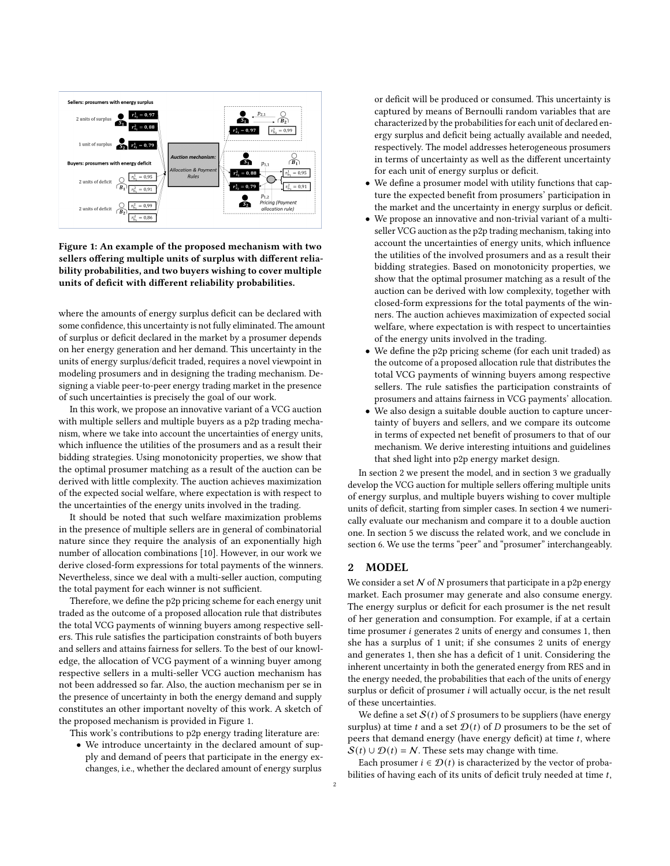<span id="page-1-0"></span>

Figure 1: An example of the proposed mechanism with two sellers offering multiple units of surplus with different reliability probabilities, and two buyers wishing to cover multiple units of deficit with different reliability probabilities.

where the amounts of energy surplus deficit can be declared with some confidence, this uncertainty is not fully eliminated. The amount of surplus or deficit declared in the market by a prosumer depends on her energy generation and her demand. This uncertainty in the units of energy surplus/deficit traded, requires a novel viewpoint in modeling prosumers and in designing the trading mechanism. Designing a viable peer-to-peer energy trading market in the presence of such uncertainties is precisely the goal of our work.

In this work, we propose an innovative variant of a VCG auction with multiple sellers and multiple buyers as a p2p trading mechanism, where we take into account the uncertainties of energy units, which influence the utilities of the prosumers and as a result their bidding strategies. Using monotonicity properties, we show that the optimal prosumer matching as a result of the auction can be derived with little complexity. The auction achieves maximization of the expected social welfare, where expectation is with respect to the uncertainties of the energy units involved in the trading.

It should be noted that such welfare maximization problems in the presence of multiple sellers are in general of combinatorial nature since they require the analysis of an exponentially high number of allocation combinations [\[10\]](#page-10-4). However, in our work we derive closed-form expressions for total payments of the winners. Nevertheless, since we deal with a multi-seller auction, computing the total payment for each winner is not sufficient.

Therefore, we define the p2p pricing scheme for each energy unit traded as the outcome of a proposed allocation rule that distributes the total VCG payments of winning buyers among respective sellers. This rule satisfies the participation constraints of both buyers and sellers and attains fairness for sellers. To the best of our knowledge, the allocation of VCG payment of a winning buyer among respective sellers in a multi-seller VCG auction mechanism has not been addressed so far. Also, the auction mechanism per se in the presence of uncertainty in both the energy demand and supply constitutes an other important novelty of this work. A sketch of the proposed mechanism is provided in Figure [1.](#page-1-0)

This work's contributions to p2p energy trading literature are:

• We introduce uncertainty in the declared amount of supply and demand of peers that participate in the energy exchanges, i.e., whether the declared amount of energy surplus

or deficit will be produced or consumed. This uncertainty is captured by means of Bernoulli random variables that are characterized by the probabilities for each unit of declared energy surplus and deficit being actually available and needed, respectively. The model addresses heterogeneous prosumers in terms of uncertainty as well as the different uncertainty for each unit of energy surplus or deficit.

- We define a prosumer model with utility functions that capture the expected benefit from prosumers' participation in the market and the uncertainty in energy surplus or deficit.
- We propose an innovative and non-trivial variant of a multiseller VCG auction as the p2p trading mechanism, taking into account the uncertainties of energy units, which influence the utilities of the involved prosumers and as a result their bidding strategies. Based on monotonicity properties, we show that the optimal prosumer matching as a result of the auction can be derived with low complexity, together with closed-form expressions for the total payments of the winners. The auction achieves maximization of expected social welfare, where expectation is with respect to uncertainties of the energy units involved in the trading.
- We define the p2p pricing scheme (for each unit traded) as the outcome of a proposed allocation rule that distributes the total VCG payments of winning buyers among respective sellers. The rule satisfies the participation constraints of prosumers and attains fairness in VCG payments' allocation.
- We also design a suitable double auction to capture uncertainty of buyers and sellers, and we compare its outcome in terms of expected net benefit of prosumers to that of our mechanism. We derive interesting intuitions and guidelines that shed light into p2p energy market design.

In section [2](#page-1-1) we present the model, and in section [3](#page-2-0) we gradually develop the VCG auction for multiple sellers offering multiple units of energy surplus, and multiple buyers wishing to cover multiple units of deficit, starting from simpler cases. In section [4](#page-5-0) we numerically evaluate our mechanism and compare it to a double auction one. In section [5](#page-8-0) we discuss the related work, and we conclude in section [6.](#page-9-0) We use the terms "peer" and "prosumer" interchangeably.

### <span id="page-1-1"></span>2 MODEL

We consider a set  $N$  of  $N$  prosumers that participate in a p2p energy market. Each prosumer may generate and also consume energy. The energy surplus or deficit for each prosumer is the net result of her generation and consumption. For example, if at a certain time prosumer  $i$  generates 2 units of energy and consumes 1, then she has a surplus of 1 unit; if she consumes 2 units of energy and generates 1, then she has a deficit of 1 unit. Considering the inherent uncertainty in both the generated energy from RES and in the energy needed, the probabilities that each of the units of energy surplus or deficit of prosumer  $i$  will actually occur, is the net result of these uncertainties.

We define a set  $S(t)$  of S prosumers to be suppliers (have energy surplus) at time t and a set  $\mathcal{D}(t)$  of D prosumers to be the set of peers that demand energy (have energy deficit) at time  $t$ , where  $S(t) \cup \mathcal{D}(t) = N$ . These sets may change with time.

Each prosumer  $i \in \mathcal{D}(t)$  is characterized by the vector of probabilities of having each of its units of deficit truly needed at time  $t$ ,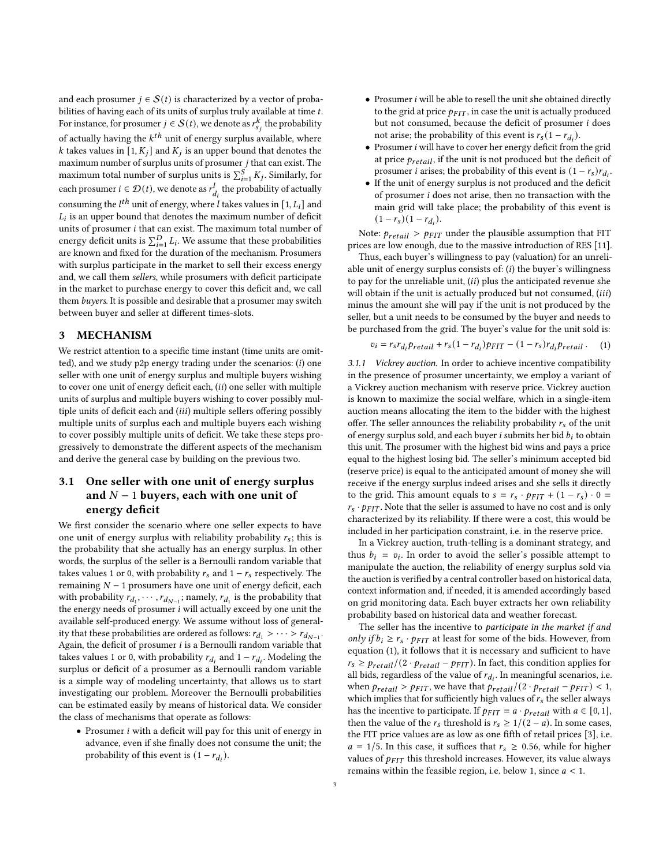and each prosumer  $j \in S(t)$  is characterized by a vector of probabilities of having each of its units of surplus truly available at time  $t$ . For instance, for prosumer  $j \in S(t)$ , we denote as  $r_{s_j}^k$  the probability of actually having the  $k^{th}$  unit of energy surplus available, where k takes values in [1,  $K_i$ ] and  $K_i$  is an upper bound that denotes the maximum number of surplus units of prosumer  $j$  that can exist. The maximum total number of surplus units is  $\sum_{i=1}^{S} K_j$ . Similarly, for each prosumer  $i \in \mathcal{D}(t)$ , we denote as  $r_{d_i}^l$  the probability of actually consuming the  $l^{th}$  unit of energy, where l takes values in [1,  $L_l$ ] and  $L_i$  is an upper bound that denotes the maximum number of deficit units of prosumer  $i$  that can exist. The maximum total number of energy deficit units is  $\sum_{i=1}^{D} L_i$ . We assume that these probabilities are known and fixed for the duration of the mechanism. Prosumers with surplus participate in the market to sell their excess energy and, we call them sellers, while prosumers with deficit participate in the market to purchase energy to cover this deficit and, we call them buyers. It is possible and desirable that a prosumer may switch between buyer and seller at different times-slots.

# <span id="page-2-0"></span>3 MECHANISM

We restrict attention to a specific time instant (time units are omitted), and we study  $p2p$  energy trading under the scenarios:  $(i)$  one seller with one unit of energy surplus and multiple buyers wishing to cover one unit of energy deficit each,  $(ii)$  one seller with multiple units of surplus and multiple buyers wishing to cover possibly multiple units of deficit each and (iii) multiple sellers offering possibly multiple units of surplus each and multiple buyers each wishing to cover possibly multiple units of deficit. We take these steps progressively to demonstrate the different aspects of the mechanism and derive the general case by building on the previous two.

# 3.1 One seller with one unit of energy surplus and  $N-1$  buyers, each with one unit of energy deficit

We first consider the scenario where one seller expects to have one unit of energy surplus with reliability probability  $r_s$ ; this is the probability that she actually has an energy surplus. In other words, the surplus of the seller is a Bernoulli random variable that takes values 1 or 0, with probability  $r_s$  and  $1 - r_s$  respectively. The remaining  $N - 1$  prosumers have one unit of energy deficit, each with probability  $r_{d_1}, \cdots, r_{d_{N-1}}$ ; namely,  $r_{d_1}$  is the probability that the energy needs of prosumer  $i$  will actually exceed by one unit the available self-produced energy. We assume without loss of generality that these probabilities are ordered as follows:  $r_{d_1} > \cdots > r_{d_{N-1}}$ . Again, the deficit of prosumer  $i$  is a Bernoulli random variable that takes values 1 or 0, with probability  $r_{d_i}$  and  $1 - r_{d_i}$ . Modeling the surplus or deficit of a prosumer as a Bernoulli random variable is a simple way of modeling uncertainty, that allows us to start investigating our problem. Moreover the Bernoulli probabilities can be estimated easily by means of historical data. We consider the class of mechanisms that operate as follows:

• Prosumer  $i$  with a deficit will pay for this unit of energy in advance, even if she finally does not consume the unit; the probability of this event is  $(1 - r_{d_i})$ .

- $\bullet$  Prosumer i will be able to resell the unit she obtained directly to the grid at price  $p_{FIT}$ , in case the unit is actually produced but not consumed, because the deficit of prosumer *i* does not arise; the probability of this event is  $r_s(1 - r_{d_i})$ .
- $\bullet$  Prosumer  $i$  will have to cover her energy deficit from the grid at price  $p_{retail}$ , if the unit is not produced but the deficit of prosumer *i* arises; the probability of this event is  $(1 - r_s)r_{d_i}$ .
- If the unit of energy surplus is not produced and the deficit of prosumer  $i$  does not arise, then no transaction with the main grid will take place; the probability of this event is  $(1 - r_s)(1 - r_{d_i}).$

Note:  $p_{retail}$  >  $p_{FIT}$  under the plausible assumption that FIT prices are low enough, due to the massive introduction of RES [\[11\]](#page-10-2).

Thus, each buyer's willingness to pay (valuation) for an unreliable unit of energy surplus consists of:  $(i)$  the buyer's willingness to pay for the unreliable unit,  $(ii)$  plus the anticipated revenue she will obtain if the unit is actually produced but not consumed,  $(iii)$ minus the amount she will pay if the unit is not produced by the seller, but a unit needs to be consumed by the buyer and needs to be purchased from the grid. The buyer's value for the unit sold is:

<span id="page-2-1"></span>
$$
v_i = r_s r_{d_i} p_{retail} + r_s (1 - r_{d_i}) p_{FIT} - (1 - r_s) r_{d_i} p_{retail} . \tag{1}
$$

3.1.1 Vickrey auction. In order to achieve incentive compatibility in the presence of prosumer uncertainty, we employ a variant of a Vickrey auction mechanism with reserve price. Vickrey auction is known to maximize the social welfare, which in a single-item auction means allocating the item to the bidder with the highest offer. The seller announces the reliability probability  $r_s$  of the unit of energy surplus sold, and each buyer  $i$  submits her bid  $b_i$  to obtain this unit. The prosumer with the highest bid wins and pays a price equal to the highest losing bid. The seller's minimum accepted bid (reserve price) is equal to the anticipated amount of money she will receive if the energy surplus indeed arises and she sells it directly to the grid. This amount equals to  $s = r_s \cdot p_{FIT} + (1 - r_s) \cdot 0 =$  $r_s \cdot p_{FIT}$ . Note that the seller is assumed to have no cost and is only characterized by its reliability. If there were a cost, this would be included in her participation constraint, i.e. in the reserve price.

In a Vickrey auction, truth-telling is a dominant strategy, and thus  $b_i = v_i$ . In order to avoid the seller's possible attempt to manipulate the auction, the reliability of energy surplus sold via the auction is verified by a central controller based on historical data, context information and, if needed, it is amended accordingly based on grid monitoring data. Each buyer extracts her own reliability probability based on historical data and weather forecast.

The seller has the incentive to participate in the market if and only if  $b_i \ge r_s \cdot p_{FIT}$  at least for some of the bids. However, from equation [\(1\)](#page-2-1), it follows that it is necessary and sufficient to have  $r_s \ge p_{retail}/(2 \cdot p_{retail} - p_{FIT})$ . In fact, this condition applies for all bids, regardless of the value of  $r_{d_i}$ . In meaningful scenarios, i.e. when  $p_{retail} > p_{FIT}$ , we have that  $p_{retail}/(2 \cdot p_{retail} - p_{FIT}) < 1$ , which implies that for sufficiently high values of  $r_s$  the seller always has the incentive to participate. If  $p_{FIT} = a \cdot p_{retail}$  with  $a \in [0, 1]$ , then the value of the  $r_s$  threshold is  $r_s \geq 1/(2 - a)$ . In some cases, the FIT price values are as low as one fifth of retail prices [\[3\]](#page-9-1), i.e.  $a = 1/5$ . In this case, it suffices that  $r_s \ge 0.56$ , while for higher values of  $p_{FIT}$  this threshold increases. However, its value always remains within the feasible region, i.e. below 1, since  $a < 1$ .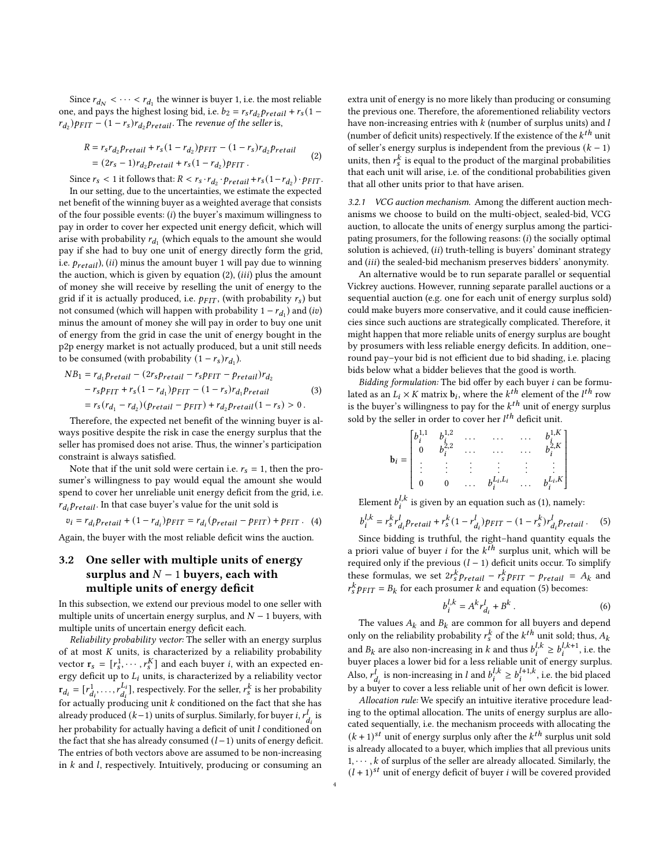Since  $r_{d_N} < \cdots < r_{d_1}$  the winner is buyer 1, i.e. the most reliable one, and pays the highest losing bid, i.e.  $b_2 = r_s r_{d_2} p_{retail} + r_s (1$  $r_{d_2}$ ) $p_{FIT}$  –  $(1 - r_s)r_{d_2}p_{retail}$ . The revenue of the seller is,

$$
R = r_s r_{d_2} p_{retail} + r_s (1 - r_{d_2}) p_{FIT} - (1 - r_s) r_{d_2} p_{retail}
$$
  
=  $(2r_s - 1) r_{d_2} p_{retail} + r_s (1 - r_{d_2}) p_{FIT}$ . (2)

Since  $r_s < 1$  it follows that:  $R < r_s \cdot r_{d_2} \cdot p_{retail} + r_s(1 - r_{d_2}) \cdot p_{FIT}$ . In our setting, due to the uncertainties, we estimate the expected net benefit of the winning buyer as a weighted average that consists of the four possible events:  $(i)$  the buyer's maximum willingness to pay in order to cover her expected unit energy deficit, which will arise with probability  $r_{d_1}$  (which equals to the amount she would pay if she had to buy one unit of energy directly form the grid, i.e.  $p_{retail}$ ), (ii) minus the amount buyer 1 will pay due to winning the auction, which is given by equation  $(2)$ ,  $(iii)$  plus the amount of money she will receive by reselling the unit of energy to the grid if it is actually produced, i.e.  $p_{FIT}$ , (with probability  $r_s$ ) but not consumed (which will happen with probability  $1 - r_{d_1}$ ) and (iv) minus the amount of money she will pay in order to buy one unit of energy from the grid in case the unit of energy bought in the p2p energy market is not actually produced, but a unit still needs to be consumed (with probability  $(1 - r_s)r_{d_1}$ ).

$$
NB_1 = r_{d_1} p_{retail} - (2r_s p_{retail} - r_s p_{FIT} - p_{retail})r_{d_2}
$$
  
- 
$$
r_s p_{FIT} + r_s (1 - r_{d_1}) p_{FIT} - (1 - r_s) r_{d_1} p_{retail}
$$
  
= 
$$
r_s (r_{d_1} - r_{d_2}) (p_{retail} - p_{FIT}) + r_{d_2} p_{retail} (1 - r_s) > 0.
$$
 (3)

Therefore, the expected net benefit of the winning buyer is always positive despite the risk in case the energy surplus that the seller has promised does not arise. Thus, the winner's participation constraint is always satisfied.

Note that if the unit sold were certain i.e.  $r_s = 1$ , then the prosumer's willingness to pay would equal the amount she would spend to cover her unreliable unit energy deficit from the grid, i.e.  $r_{d_i} p_{retail}$ . In that case buyer's value for the unit sold is

$$
v_i = r_{d_i} p_{retail} + (1 - r_{d_i}) p_{FIT} = r_{d_i} (p_{retail} - p_{FIT}) + p_{FIT} .
$$
 (4)

Again, the buyer with the most reliable deficit wins the auction.

# <span id="page-3-2"></span>3.2 One seller with multiple units of energy surplus and  $N-1$  buyers, each with multiple units of energy deficit

In this subsection, we extend our previous model to one seller with multiple units of uncertain energy surplus, and  $N - 1$  buyers, with multiple units of uncertain energy deficit each.

Reliability probability vector: The seller with an energy surplus of at most  $K$  units, is characterized by a reliability probability vector  $\mathbf{r}_s = [r_s^1, \cdots, r_s^K]$  and each buyer *i*, with an expected energy deficit up to  $L_i$  units, is characterized by a reliability vector  $r_{d_i} = [r_{d_i}^1, \ldots, r_{d_i}^{L_i}]$  $\begin{bmatrix} L_i \ d_i \end{bmatrix}$ , respectively. For the seller,  $r_s^k$  is her probability for actually producing unit  $\boldsymbol{k}$  conditioned on the fact that she has already produced  $(k-1)$  units of surplus. Similarly, for buyer i,  $r_{d_i}^l$  is her probability for actually having a deficit of unit  $l$  conditioned on the fact that she has already consumed  $(l-1)$  units of energy deficit. The entries of both vectors above are assumed to be non-increasing in  $k$  and  $l$ , respectively. Intuitively, producing or consuming an

extra unit of energy is no more likely than producing or consuming the previous one. Therefore, the aforementioned reliability vectors have non-increasing entries with  $k$  (number of surplus units) and  $l$ (number of deficit units) respectively. If the existence of the  $k^{th}$  unit of seller's energy surplus is independent from the previous  $(k - 1)$ units, then  $r_s^k$  is equal to the product of the marginal probabilities that each unit will arise, i.e. of the conditional probabilities given that all other units prior to that have arisen.

<span id="page-3-1"></span>3.2.1 VCG auction mechanism. Among the different auction mechanisms we choose to build on the multi-object, sealed-bid, VCG auction, to allocate the units of energy surplus among the participating prosumers, for the following reasons:  $(i)$  the socially optimal solution is achieved,  $(ii)$  truth-telling is buyers' dominant strategy and (iii) the sealed-bid mechanism preserves bidders' anonymity.

An alternative would be to run separate parallel or sequential Vickrey auctions. However, running separate parallel auctions or a sequential auction (e.g. one for each unit of energy surplus sold) could make buyers more conservative, and it could cause inefficiencies since such auctions are strategically complicated. Therefore, it might happen that more reliable units of energy surplus are bought by prosumers with less reliable energy deficits. In addition, one– round pay–your bid is not efficient due to bid shading, i.e. placing bids below what a bidder believes that the good is worth.

Bidding formulation: The bid offer by each buyer *i* can be formulated as an  $L_i \times K$  matrix  $\mathbf{b}_i$ , where the  $k^{th}$  element of the  $l^{th}$  row is the buyer's willingness to pay for the  $k^{th}$  unit of energy surplus sold by the seller in order to cover her  $l^{th}$  deficit unit.

$$
\mathbf{b}_{i} = \begin{bmatrix} b_{i}^{1,1} & b_{i}^{1,2} & \dots & \dots & b_{i}^{1,K} \\ 0 & b_{i}^{2,2} & \dots & \dots & \dots & b_{i}^{2,K} \\ \vdots & \vdots & \vdots & \vdots & \vdots & \vdots \\ 0 & 0 & \dots & b_{i}^{L_{i},L_{i}} & \dots & b_{i}^{L_{i},K} \end{bmatrix}
$$

Element  $b_i^{l,k}$  is given by an equation such as [\(1\)](#page-2-1), namely:

<span id="page-3-0"></span>
$$
b_i^{l,k} = r_s^k r_{d_i}^l p_{retail} + r_s^k (1 - r_{d_i}^l) p_{FIT} - (1 - r_s^k) r_{d_i}^l p_{retail}.
$$
 (5)

Since bidding is truthful, the right–hand quantity equals the a priori value of buyer *i* for the  $k^{th}$  surplus unit, which will be required only if the previous  $(l - 1)$  deficit units occur. To simplify these formulas, we set  $2r_s^k p_{retail} - r_s^k p_{FIT} - p_{retail} = A_k$  and  $r_s^k p_{FIT} = B_k$  for each prosumer k and equation [\(5\)](#page-3-0) becomes:

$$
b_i^{l,k} = A^k r_{d_i}^l + B^k \,. \tag{6}
$$

The values  $A_k$  and  $B_k$  are common for all buyers and depend only on the reliability probability  $r_s^k$  of the  $k^{th}$  unit sold; thus,  $A_k$ and  $B_k$  are also non-increasing in k and thus  $b_i^{l,k} \geq b_i^{l,k+1}$ , i.e. the buyer places a lower bid for a less reliable unit of energy surplus. Also,  $r_{d_i}^l$  is non-increasing in l and  $b_i^{l,k} \geq b_i^{l+1,k}$ , i.e. the bid placed by a buyer to cover a less reliable unit of her own deficit is lower.

Allocation rule: We specify an intuitive iterative procedure leading to the optimal allocation. The units of energy surplus are allocated sequentially, i.e. the mechanism proceeds with allocating the  $(k+1)$ <sup>st</sup> unit of energy surplus only after the  $k^{th}$  surplus unit sold is already allocated to a buyer, which implies that all previous units  $1, \dots, k$  of surplus of the seller are already allocated. Similarly, the  $(1 + 1)^{st}$  unit of energy deficit of buyer *i* will be covered provided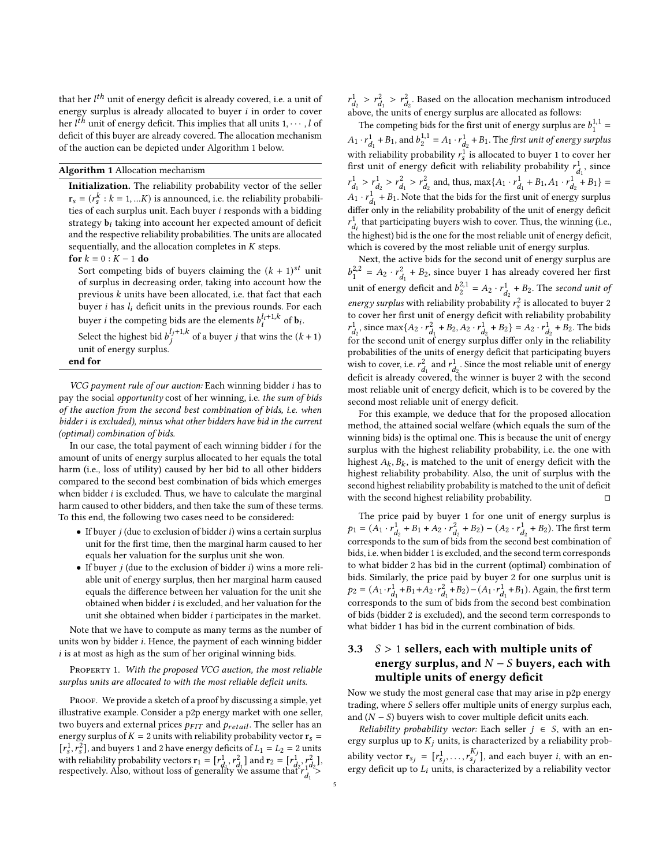that her  $l^{th}$  unit of energy deficit is already covered, i.e. a unit of energy surplus is already allocated to buyer  $i$  in order to cover her  $l^{th}$  unit of energy deficit. This implies that all units  $1, \dots, l$  of deficit of this buyer are already covered. The allocation mechanism of the auction can be depicted under Algorithm 1 below.

#### Algorithm 1 Allocation mechanism

Initialization. The reliability probability vector of the seller  $r_s = (r_s^k : k = 1, ... K)$  is announced, i.e. the reliability probabilities of each surplus unit. Each buyer  $i$  responds with a bidding strategy  $b_i$  taking into account her expected amount of deficit and the respective reliability probabilities. The units are allocated sequentially, and the allocation completes in  $K$  steps.

#### for  $k = 0 : K - 1$  do

Sort competing bids of buyers claiming the  $(k + 1)^{st}$  unit of surplus in decreasing order, taking into account how the previous  $k$  units have been allocated, i.e. that fact that each buyer  $i$  has  $l_i$  deficit units in the previous rounds. For each buyer *i* the competing bids are the elements  $b_i^{l_i+1,k}$  of  $\mathbf{b}_i$ .

Select the highest bid  $b_j^{l_j+1,k}$  of a buyer j that wins the  $(k+1)$ unit of energy surplus.

# end for

VCG payment rule of our auction: Each winning bidder i has to pay the social opportunity cost of her winning, i.e. the sum of bids of the auction from the second best combination of bids, i.e. when bidder i is excluded), minus what other bidders have bid in the current (optimal) combination of bids.

In our case, the total payment of each winning bidder  $i$  for the amount of units of energy surplus allocated to her equals the total harm (i.e., loss of utility) caused by her bid to all other bidders compared to the second best combination of bids which emerges when bidder  $i$  is excluded. Thus, we have to calculate the marginal harm caused to other bidders, and then take the sum of these terms. To this end, the following two cases need to be considered:

- If buyer  $j$  (due to exclusion of bidder  $i$ ) wins a certain surplus unit for the first time, then the marginal harm caused to her equals her valuation for the surplus unit she won.
- If buyer  $j$  (due to the exclusion of bidder  $i$ ) wins a more reliable unit of energy surplus, then her marginal harm caused equals the difference between her valuation for the unit she obtained when bidder  $i$  is excluded, and her valuation for the unit she obtained when bidder  $i$  participates in the market.

Note that we have to compute as many terms as the number of units won by bidder i. Hence, the payment of each winning bidder  $i$  is at most as high as the sum of her original winning bids.

PROPERTY 1. With the proposed VCG auction, the most reliable surplus units are allocated to with the most reliable deficit units.

PROOF. We provide a sketch of a proof by discussing a simple, yet illustrative example. Consider a p2p energy market with one seller, two buyers and external prices  $p_{FIT}$  and  $p_{retail}$ . The seller has an energy surplus of  $K = 2$  units with reliability probability vector  $r_s =$  $[r_s^1, r_s^2]$ , and buyers 1 and 2 have energy deficits of  $L_1 = L_2 = 2$  units with reliability probability vectors  $\mathbf{r}_1 = [r_{d_1}^1, r_{d_1}^2]$  and  $\mathbf{r}_2 = [r_{d_2}^1, r_{d_2}^2]$ , respectively. Also, without loss of generality we assume that  $r_{d_1}^{1} > r_{d_1}^{1} >$ 

 $r_{d_2}^1 > r_{d_1}^2 > r_{d_2}^2$ . Based on the allocation mechanism introduced  $a_{\text{p}}^2$  above, the units of energy surplus are allocated as follows:

The competing bids for the first unit of energy surplus are  $b_1^{1,1}$  =  $A_1 \cdot r_{d_1}^1 + B_1$ , and  $b_2^{1,1} = A_1 \cdot r_{d_2}^1 + B_1$ . The first unit of energy surplus with reliability probability  $r_s^{\frac{1}{2}}$  is allocated to buyer 1 to cover her first unit of energy deficit with reliability probability  $r_{d_1}^1$ , since  $r_{d_1}^1 > r_{d_2}^1 > r_{d_1}^2 > r_{d_2}^2$  and, thus, max{A<sub>1</sub> ·  $r_{d_1}^1$  + B<sub>1</sub>, A<sub>1</sub> ·  $r_{d_2}^1$  + B<sub>1</sub>} =  $A_1 \cdot r_{d_1}^1 + B_1$ . Note that the bids for the first unit of energy surplus differ only in the reliability probability of the unit of energy deficit  $r_{d_i}^1$  that participating buyers wish to cover. Thus, the winning (i.e., the highest) bid is the one for the most reliable unit of energy deficit, which is covered by the most reliable unit of energy surplus.

Next, the active bids for the second unit of energy surplus are  $b_1^{2,2} = A_2 \cdot r_{d_1}^2 + B_2$ , since buyer 1 has already covered her first unit of energy deficit and  $b_2^{2,1} = A_2 \cdot r_{d_2}^1 + B_2$ . The second unit of energy surplus with reliability probability  $r_s^2$  is allocated to buyer 2 to cover her first unit of energy deficit with reliability probability  $r_{d_2}^1$ , since max $\{A_2 \cdot r_{d_1}^2 + B_2, A_2 \cdot r_{d_2}^1 + B_2\} = A_2 \cdot r_{d_2}^1 + B_2$ . The bids  $\frac{a}{2}$  for the second unit of energy surplus differ only in the reliability probabilities of the units of energy deficit that participating buyers wish to cover, i.e.  $r_{d_1}^2$  and  $r_{d_2}^1$ . Since the most reliable unit of energy deficit is already covered, the winner is buyer 2 with the second most reliable unit of energy deficit, which is to be covered by the second most reliable unit of energy deficit.

For this example, we deduce that for the proposed allocation method, the attained social welfare (which equals the sum of the winning bids) is the optimal one. This is because the unit of energy surplus with the highest reliability probability, i.e. the one with highest  $A_k$ ,  $B_k$ , is matched to the unit of energy deficit with the highest reliability probability. Also, the unit of surplus with the second highest reliability probability is matched to the unit of deficit with the second highest reliability probability.  $□$ 

The price paid by buyer 1 for one unit of energy surplus is  $p_1 = (A_1 \cdot r_{d_2}^1 + B_1 + A_2 \cdot r_{d_2}^2 + B_2) - (A_2 \cdot r_{d_2}^1 + B_2)$ . The first term corresponds to the sum of bids from the second best combination of bids, i.e. when bidder 1 is excluded, and the second term corresponds to what bidder 2 has bid in the current (optimal) combination of bids. Similarly, the price paid by buyer 2 for one surplus unit is  $p_2 = (A_1 \cdot r_{d_1}^1 + B_1 + A_2 \cdot r_{d_1}^2 + B_2) - (A_1 \cdot r_{d_1}^1 + B_1)$ . Again, the first term corresponds to the sum of bids from the second best combination of bids (bidder 2 is excluded), and the second term corresponds to what bidder 1 has bid in the current combination of bids.

# 3.3  $S > 1$  sellers, each with multiple units of energy surplus, and  $N-S$  buyers, each with multiple units of energy deficit

Now we study the most general case that may arise in p2p energy trading, where  $S$  sellers offer multiple units of energy surplus each, and  $(N - S)$  buyers wish to cover multiple deficit units each.

Reliability probability vector: Each seller  $j \in S$ , with an energy surplus up to  $K_i$  units, is characterized by a reliability probability vector  $\mathbf{r}_{s_j} = [r_{s_j}^1, \dots, r_{s_j}^{K_j}]$ , and each buyer *i*, with an energy deficit up to  $L_i$  units, is characterized by a reliability vector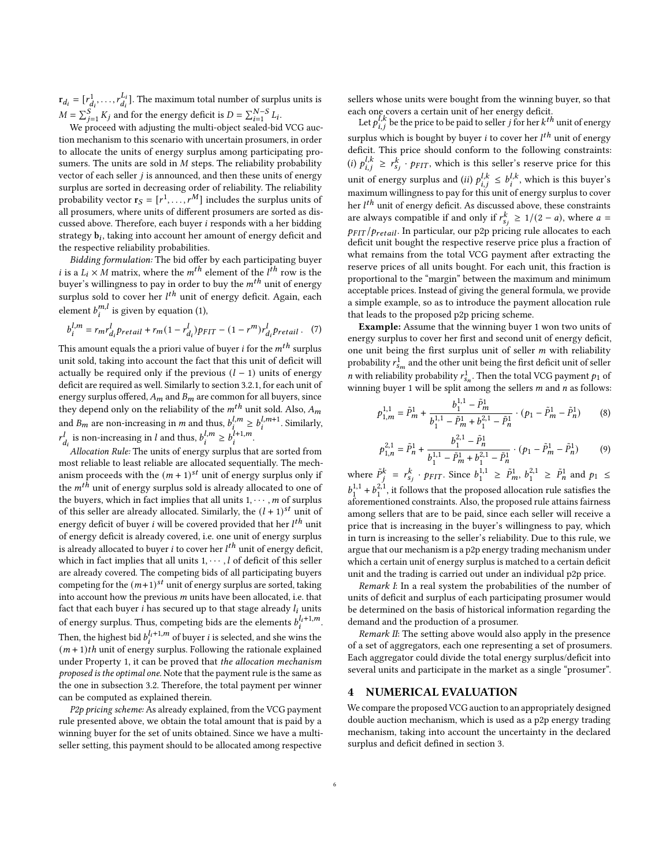$\mathbf{r}_{d_i} = [r_{d_i}^1, \dots, r_{d_i}^{L_i}]$  $[{L_i \atop d_i}].$  The maximum total number of surplus units is  $M = \sum_{j=1}^{S} K_j$  and for the energy deficit is  $D = \sum_{i=1}^{N-S} L_i$ .

We proceed with adjusting the multi-object sealed-bid VCG auction mechanism to this scenario with uncertain prosumers, in order to allocate the units of energy surplus among participating prosumers. The units are sold in  $M$  steps. The reliability probability vector of each seller  $j$  is announced, and then these units of energy surplus are sorted in decreasing order of reliability. The reliability probability vector  $\mathbf{r}_S = [r^1, \ldots, r^M]$  includes the surplus units of all prosumers, where units of different prosumers are sorted as discussed above. Therefore, each buyer  $i$  responds with a her bidding strategy  $\mathbf{b}_i$ , taking into account her amount of energy deficit and the respective reliability probabilities.

Bidding formulation: The bid offer by each participating buyer *i* is a  $L_i \times M$  matrix, where the  $m^{th}$  element of the  $l^{th}$  row is the buyer's willingness to pay in order to buy the  $m^{th}$  unit of energy surplus sold to cover her  $l^{th}$  unit of energy deficit. Again, each element  $b_i^{m,l}$  is given by equation [\(1\)](#page-2-1),

$$
b_i^{l,m} = r_m r_{d_i}^l p_{retail} + r_m (1 - r_{d_i}^l) p_{FIT} - (1 - r^m) r_{d_i}^l p_{retail} .
$$
 (7)

This amount equals the a priori value of buyer *i* for the  $m<sup>th</sup>$  surplus unit sold, taking into account the fact that this unit of deficit will actually be required only if the previous  $(l - 1)$  units of energy deficit are required as well. Similarly to section [3.2.1,](#page-3-1) for each unit of energy surplus offered,  $A_m$  and  $B_m$  are common for all buyers, since they depend only on the reliability of the  $m^{th}$  unit sold. Also,  $A_m$ and  $B_m$  are non-increasing in *m* and thus,  $b_i^{l,m} \geq b_i^{l,m+1}$ . Similarly,  $r_{d_i}^l$  is non-increasing in *l* and thus,  $b_i^{l,m} \ge b_i^{\tilde{l}+1,m}$ .

Allocation Rule: The units of energy surplus that are sorted from most reliable to least reliable are allocated sequentially. The mechanism proceeds with the  $(m + 1)^{st}$  unit of energy surplus only if the  $m<sup>th</sup>$  unit of energy surplus sold is already allocated to one of the buyers, which in fact implies that all units  $1, \dots, m$  of surplus of this seller are already allocated. Similarly, the  $(l + 1)^{st}$  unit of energy deficit of buyer *i* will be covered provided that her  $l^{th}$  unit of energy deficit is already covered, i.e. one unit of energy surplus is already allocated to buyer *i* to cover her  $l^{th}$  unit of energy deficit. which in fact implies that all units  $1, \dots, l$  of deficit of this seller are already covered. The competing bids of all participating buyers competing for the  $(m+1)^{st}$  unit of energy surplus are sorted, taking into account how the previous  $m$  units have been allocated, i.e. that fact that each buyer  $i$  has secured up to that stage already  $l_i$  units of energy surplus. Thus, competing bids are the elements  $b_i^{l_i+1,m}$ . Then, the highest bid  $b_i^{l_i+1,m}$  of buyer *i* is selected, and she wins the  $(m + 1)$ th unit of energy surplus. Following the rationale explained under Property 1, it can be proved that the allocation mechanism proposed is the optimal one. Note that the payment rule is the same as the one in subsection [3.2.](#page-3-2) Therefore, the total payment per winner can be computed as explained therein.

P2p pricing scheme: As already explained, from the VCG payment rule presented above, we obtain the total amount that is paid by a winning buyer for the set of units obtained. Since we have a multiseller setting, this payment should to be allocated among respective

sellers whose units were bought from the winning buyer, so that each one covers a certain unit of her energy deficit.

Let  $p_{i,j}^{L,k}$  be the price to be paid to seller *j* for her  $k^{th}$  unit of energy surplus which is bought by buver *i* to cover her  $l^{th}$  unit of energy deficit. This price should conform to the following constraints: (i)  $p_{i,j}^{l,k} \geq r_{s_j}^{k} \cdot p_{FIT}$ , which is this seller's reserve price for this unit of energy surplus and (*ii*)  $p_{i,j}^{l,k} \leq b_i^{l,k}$ , which is this buyer's maximum willingness to pay for this unit of energy surplus to cover her  $l<sup>th</sup>$  unit of energy deficit. As discussed above, these constraints are always compatible if and only if  $r_{s_i}^k \geq 1/(2 - a)$ , where  $a =$  $p_{FIT}/p_{retail}$ . In particular, our p2p pricing rule allocates to each deficit unit bought the respective reserve price plus a fraction of what remains from the total VCG payment after extracting the reserve prices of all units bought. For each unit, this fraction is proportional to the "margin" between the maximum and minimum acceptable prices. Instead of giving the general formula, we provide a simple example, so as to introduce the payment allocation rule that leads to the proposed p2p pricing scheme.

Example: Assume that the winning buyer 1 won two units of energy surplus to cover her first and second unit of energy deficit, one unit being the first surplus unit of seller  $m$  with reliability probability  $r_{s_m}^1$  and the other unit being the first deficit unit of seller *n* with reliability probability  $r_{s_n}^1$ . Then the total VCG payment  $p_1$  of winning buyer 1 will be split among the sellers  $m$  and  $n$  as follows:

$$
p_{1,m}^{1,1} = \tilde{P}_m^1 + \frac{b_1^{1,1} - \tilde{P}_m^1}{b_1^{1,1} - \tilde{P}_m^1 + b_1^{2,1} - \tilde{P}_n^1} \cdot (p_1 - \tilde{P}_m^1 - \tilde{P}_n^1) \tag{8}
$$

$$
p_{1,n}^{2,1} = \tilde{P}_n^1 + \frac{b_1^{2,1} - \tilde{P}_n^1}{b_1^{1,1} - \tilde{P}_m^1 + b_1^{2,1} - \tilde{P}_n^1} \cdot (p_1 - \tilde{P}_m^1 - \tilde{P}_n^1) \tag{9}
$$

where  $\tilde{P}_j^k = r_{s_j}^k \cdot p_{FIT}$ . Since  $b_1^{1,1} \ge \tilde{P}_m^1$ ,  $b_1^{2,1} \ge \tilde{P}_n^1$  and  $p_1 \le$  $b_1^{1,1} + b_1^{2,1}$ , it follows that the proposed allocation rule satisfies the aforementioned constraints. Also, the proposed rule attains fairness among sellers that are to be paid, since each seller will receive a price that is increasing in the buyer's willingness to pay, which in turn is increasing to the seller's reliability. Due to this rule, we argue that our mechanism is a p2p energy trading mechanism under which a certain unit of energy surplus is matched to a certain deficit unit and the trading is carried out under an individual p2p price.

Remark I: In a real system the probabilities of the number of units of deficit and surplus of each participating prosumer would be determined on the basis of historical information regarding the demand and the production of a prosumer.

Remark II: The setting above would also apply in the presence of a set of aggregators, each one representing a set of prosumers. Each aggregator could divide the total energy surplus/deficit into several units and participate in the market as a single "prosumer".

### <span id="page-5-0"></span>4 NUMERICAL EVALUATION

We compare the proposed VCG auction to an appropriately designed double auction mechanism, which is used as a p2p energy trading mechanism, taking into account the uncertainty in the declared surplus and deficit defined in section [3.](#page-2-0)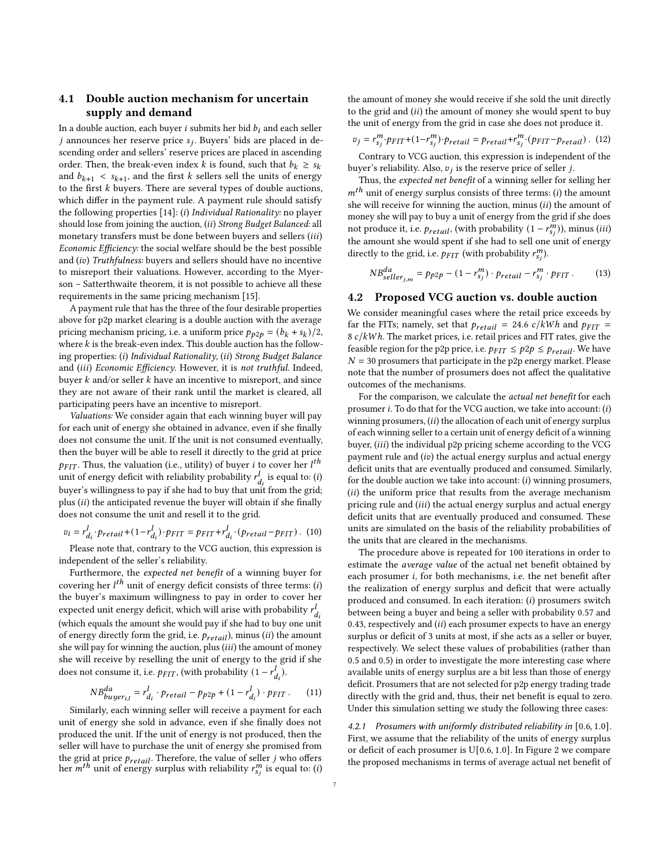# <span id="page-6-0"></span>4.1 Double auction mechanism for uncertain supply and demand

In a double auction, each buyer  $i$  submits her bid  $b_i$  and each seller *j* announces her reserve price  $s_i$ . Buyers' bids are placed in descending order and sellers' reserve prices are placed in ascending order. Then, the break-even index *k* is found, such that  $b_k \geq s_k$ and  $b_{k+1} < s_{k+1}$ , and the first k sellers sell the units of energy to the first  $k$  buyers. There are several types of double auctions, which differ in the payment rule. A payment rule should satisfy the following properties  $[14]$ : (i) Individual Rationality: no player should lose from joining the auction, (ii) Strong Budget Balanced: all monetary transfers must be done between buyers and sellers (iii) Economic Efficiency: the social welfare should be the best possible and (iv) Truthfulness: buyers and sellers should have no incentive to misreport their valuations. However, according to the Myerson – Satterthwaite theorem, it is not possible to achieve all these requirements in the same pricing mechanism [\[15\]](#page-10-6).

A payment rule that has the three of the four desirable properties above for p2p market clearing is a double auction with the average pricing mechanism pricing, i.e. a uniform price  $p_{p2p} = (b_k + s_k)/2$ , where  $k$  is the break-even index. This double auction has the following properties: (i) Individual Rationality, (ii) Strong Budget Balance and (iii) Economic Efficiency. However, it is not truthful. Indeed, buyer  $k$  and/or seller  $k$  have an incentive to misreport, and since they are not aware of their rank until the market is cleared, all participating peers have an incentive to misreport.

Valuations: We consider again that each winning buyer will pay for each unit of energy she obtained in advance, even if she finally does not consume the unit. If the unit is not consumed eventually, then the buyer will be able to resell it directly to the grid at price  $p_{FIT}$ . Thus, the valuation (i.e., utility) of buyer *i* to cover her *l*<sup>th</sup> unit of energy deficit with reliability probability  $r_{d_i}^l$  is equal to: (i) buyer's willingness to pay if she had to buy that unit from the grid; plus  $(ii)$  the anticipated revenue the buyer will obtain if she finally does not consume the unit and resell it to the grid.

$$
v_i = r_{d_i}^l \cdot p_{retail} + (1 - r_{d_i}^l) \cdot p_{FIT} = p_{FIT} + r_{d_i}^l \cdot (p_{retail} - p_{FIT})
$$
 (10)

Please note that, contrary to the VCG auction, this expression is independent of the seller's reliability.

Furthermore, the expected net benefit of a winning buyer for covering her  $l^{th}$  unit of energy deficit consists of three terms: (i) the buyer's maximum willingness to pay in order to cover her expected unit energy deficit, which will arise with probability  $r_{d_i}^l$ (which equals the amount she would pay if she had to buy one unit of energy directly form the grid, i.e.  $\mathit{p_{retail}}$  ), minus  $(ii)$  the amount she will pay for winning the auction, plus  $(iii)$  the amount of money she will receive by reselling the unit of energy to the grid if she does not consume it, i.e.  $p_{FIT}$ , (with probability  $(1 - r_{d_i}^l)$ .

$$
NB_{buffer_{i,l}}^{da} = r_{d_i}^l \cdot p_{retail} - p_{p2p} + (1 - r_{d_i}^l) \cdot p_{FIT}. \tag{11}
$$

Similarly, each winning seller will receive a payment for each unit of energy she sold in advance, even if she finally does not produced the unit. If the unit of energy is not produced, then the seller will have to purchase the unit of energy she promised from the grid at price  $p_{retail}$ . Therefore, the value of seller  $j$  who offers the given at price *. Therefore, the value of senset <i>j* who offers the *m*<sup>th</sup> unit of energy surplus with reliability  $r_{s_i}^m$  is equal to: (*i*) the amount of money she would receive if she sold the unit directly to the grid and  $(ii)$  the amount of money she would spent to buy the unit of energy from the grid in case she does not produce it.

$$
v_j = r_{s_j}^m \cdot p_{FIT} + (1 - r_{s_j}^m) \cdot p_{retail} = p_{retail} + r_{s_j}^m \cdot (p_{FIT} - p_{retail})
$$
. (12)

Contrary to VCG auction, this expression is independent of the buyer's reliability. Also,  $v_i$  is the reserve price of seller *j*.

Thus, the expected net benefit of a winning seller for selling her  $m<sup>th</sup>$  unit of energy surplus consists of three terms: (i) the amount she will receive for winning the auction, minus  $(ii)$  the amount of money she will pay to buy a unit of energy from the grid if she does not produce it, i.e.  $p_{retail}$ , (with probability  $(1 - r_{s_i}^m)$ ), minus (*iii*) the amount she would spent if she had to sell one unit of energy directly to the grid, i.e.  $\Pr_{FIT}$  (with probability  $r_{s_i}^m$ ).

$$
NB_{selfler_{j,m}}^{da} = p_{p2p} - (1 - r_{sj}^m) \cdot p_{retail} - r_{sj}^m \cdot p_{FIT}. \qquad (13)
$$

### <span id="page-6-1"></span>4.2 Proposed VCG auction vs. double auction

We consider meaningful cases where the retail price exceeds by far the FITs; namely, set that  $p_{retail} = 24.6 \ c/kWh$  and  $p_{FIT} =$  $8 c/kWh$ . The market prices, i.e. retail prices and FIT rates, give the feasible region for the p2p price, i.e.  $p_{FIT} \leq p2p \leq p_{retail}$ . We have  $N = 30$  prosumers that participate in the p2p energy market. Please note that the number of prosumers does not affect the qualitative outcomes of the mechanisms.

For the comparison, we calculate the actual net benefit for each prosumer  $i$ . To do that for the VCG auction, we take into account:  $(i)$ winning prosumers,  $(ii)$  the allocation of each unit of energy surplus of each winning seller to a certain unit of energy deficit of a winning buyer, (iii) the individual p2p pricing scheme according to the VCG payment rule and  $(iv)$  the actual energy surplus and actual energy deficit units that are eventually produced and consumed. Similarly, for the double auction we take into account:  $(i)$  winning prosumers,  $(ii)$  the uniform price that results from the average mechanism pricing rule and (iii) the actual energy surplus and actual energy deficit units that are eventually produced and consumed. These units are simulated on the basis of the reliability probabilities of the units that are cleared in the mechanisms.

The procedure above is repeated for 100 iterations in order to estimate the average value of the actual net benefit obtained by each prosumer *i*, for both mechanisms, i.e. the net benefit after the realization of energy surplus and deficit that were actually produced and consumed. In each iteration:  $(i)$  prosumers switch between being a buyer and being a seller with probability 0.57 and 0.43, respectively and  $(ii)$  each prosumer expects to have an energy surplus or deficit of 3 units at most, if she acts as a seller or buyer, respectively. We select these values of probabilities (rather than 0.5 and 0.5) in order to investigate the more interesting case where available units of energy surplus are a bit less than those of energy deficit. Prosumers that are not selected for p2p energy trading trade directly with the grid and, thus, their net benefit is equal to zero. Under this simulation setting we study the following three cases:

4.2.1 Prosumers with uniformly distributed reliability in [0.6, 1.0]. First, we assume that the reliability of the units of energy surplus or deficit of each prosumer is U[0.6, 1.0]. In Figure [2](#page-7-0) we compare the proposed mechanisms in terms of average actual net benefit of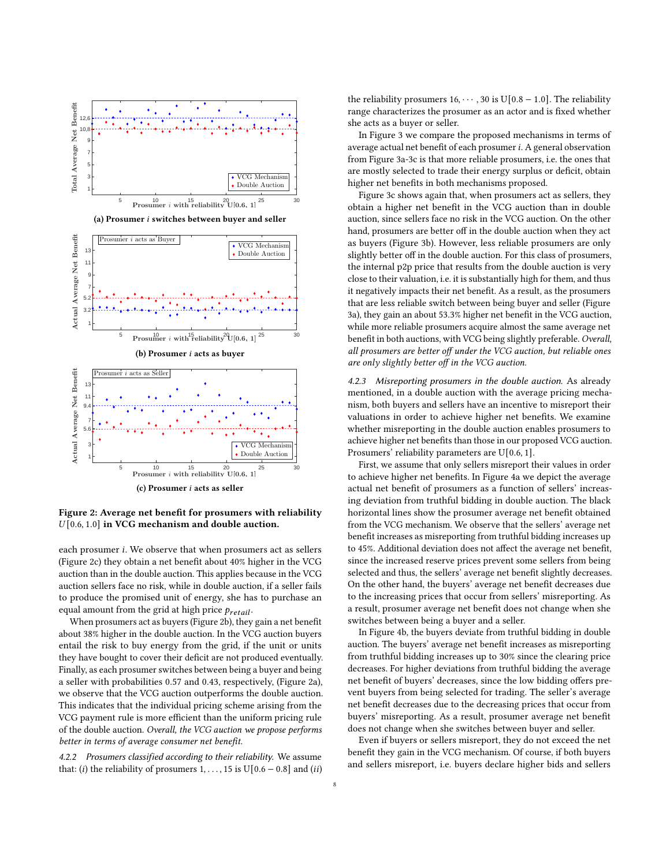<span id="page-7-0"></span>

(a) Prosumer  $i$  switches between buyer and seller





Figure 2: Average net benefit for prosumers with reliability  $U[0.6, 1.0]$  in VCG mechanism and double auction.

each prosumer i. We observe that when prosumers act as sellers (Figure [2c\)](#page-7-0) they obtain a net benefit about 40% higher in the VCG auction than in the double auction. This applies because in the VCG auction sellers face no risk, while in double auction, if a seller fails to produce the promised unit of energy, she has to purchase an equal amount from the grid at high price  $p_{retail}$ .

When prosumers act as buyers (Figure [2b\)](#page-7-0), they gain a net benefit about 38% higher in the double auction. In the VCG auction buyers entail the risk to buy energy from the grid, if the unit or units they have bought to cover their deficit are not produced eventually. Finally, as each prosumer switches between being a buyer and being a seller with probabilities 0.57 and 0.43, respectively, (Figure [2a\)](#page-7-0), we observe that the VCG auction outperforms the double auction. This indicates that the individual pricing scheme arising from the VCG payment rule is more efficient than the uniform pricing rule of the double auction. Overall, the VCG auction we propose performs better in terms of average consumer net benefit.

4.2.2 Prosumers classified according to their reliability. We assume that: (i) the reliability of prosumers 1, . . . , 15 is U[0.6 – 0.8] and (ii) the reliability prosumers  $16, \dots, 30$  is U[0.8 – 1.0]. The reliability range characterizes the prosumer as an actor and is fixed whether she acts as a buyer or seller.

In Figure [3](#page-8-1) we compare the proposed mechanisms in terms of average actual net benefit of each prosumer  $i$ . A general observation from Figure [3a-3c](#page-8-1) is that more reliable prosumers, i.e. the ones that are mostly selected to trade their energy surplus or deficit, obtain higher net benefits in both mechanisms proposed.

Figure [3c](#page-8-1) shows again that, when prosumers act as sellers, they obtain a higher net benefit in the VCG auction than in double auction, since sellers face no risk in the VCG auction. On the other hand, prosumers are better off in the double auction when they act as buyers (Figure [3b\)](#page-8-1). However, less reliable prosumers are only slightly better off in the double auction. For this class of prosumers, the internal p2p price that results from the double auction is very close to their valuation, i.e. it is substantially high for them, and thus it negatively impacts their net benefit. As a result, as the prosumers that are less reliable switch between being buyer and seller (Figure [3a\)](#page-8-1), they gain an about 53.3% higher net benefit in the VCG auction, while more reliable prosumers acquire almost the same average net benefit in both auctions, with VCG being slightly preferable. Overall, all prosumers are better off under the VCG auction, but reliable ones are only slightly better off in the VCG auction.

4.2.3 Misreporting prosumers in the double auction. As already mentioned, in a double auction with the average pricing mechanism, both buyers and sellers have an incentive to misreport their valuations in order to achieve higher net benefits. We examine whether misreporting in the double auction enables prosumers to achieve higher net benefits than those in our proposed VCG auction. Prosumers' reliability parameters are U[0.6, 1].

First, we assume that only sellers misreport their values in order to achieve higher net benefits. In Figure [4a](#page-9-2) we depict the average actual net benefit of prosumers as a function of sellers' increasing deviation from truthful bidding in double auction. The black horizontal lines show the prosumer average net benefit obtained from the VCG mechanism. We observe that the sellers' average net benefit increases as misreporting from truthful bidding increases up to 45%. Additional deviation does not affect the average net benefit, since the increased reserve prices prevent some sellers from being selected and thus, the sellers' average net benefit slightly decreases. On the other hand, the buyers' average net benefit decreases due to the increasing prices that occur from sellers' misreporting. As a result, prosumer average net benefit does not change when she switches between being a buyer and a seller.

In Figure [4b,](#page-9-2) the buyers deviate from truthful bidding in double auction. The buyers' average net benefit increases as misreporting from truthful bidding increases up to 30% since the clearing price decreases. For higher deviations from truthful bidding the average net benefit of buyers' decreases, since the low bidding offers prevent buyers from being selected for trading. The seller's average net benefit decreases due to the decreasing prices that occur from buyers' misreporting. As a result, prosumer average net benefit does not change when she switches between buyer and seller.

Even if buyers or sellers misreport, they do not exceed the net benefit they gain in the VCG mechanism. Of course, if both buyers and sellers misreport, i.e. buyers declare higher bids and sellers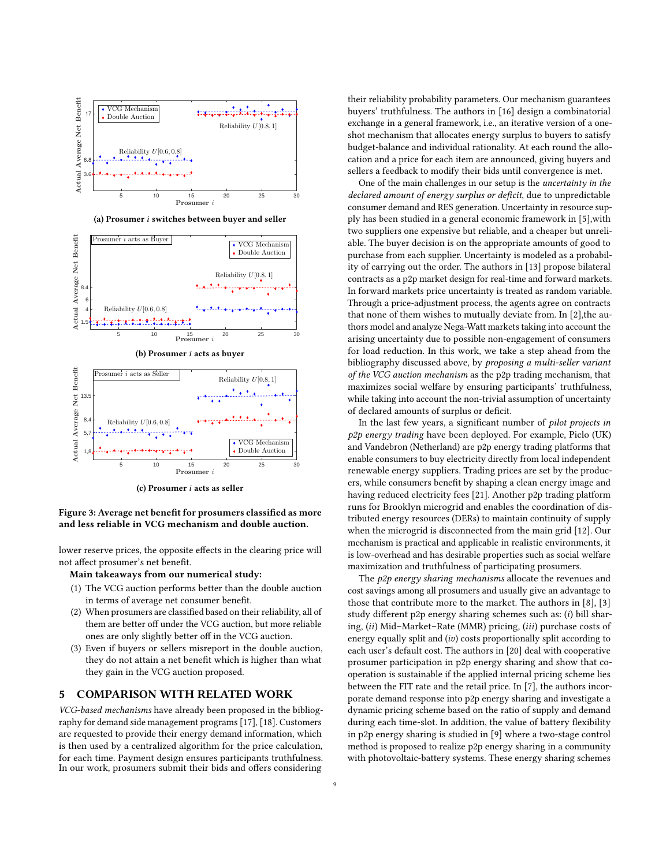<span id="page-8-1"></span>

(a) Prosumer  $i$  switches between buyer and seller



(b) Prosumer  $i$  acts as buver



 $(c)$  Prosumer *i* acts as seller

Figure 3: Average net benefit for prosumers classified as more and less reliable in VCG mechanism and double auction.

lower reserve prices, the opposite effects in the clearing price will not affect prosumer's net benefit.

Main takeaways from our numerical study:

- (1) The VCG auction performs better than the double auction in terms of average net consumer benefit.
- (2) When prosumers are classified based on their reliability, all of them are better off under the VCG auction, but more reliable ones are only slightly better off in the VCG auction.
- (3) Even if buyers or sellers misreport in the double auction, they do not attain a net benefit which is higher than what they gain in the VCG auction proposed.

### <span id="page-8-0"></span>5 COMPARISON WITH RELATED WORK

VCG-based mechanisms have already been proposed in the bibliography for demand side management programs [\[17\]](#page-10-7), [\[18\]](#page-10-8). Customers are requested to provide their energy demand information, which is then used by a centralized algorithm for the price calculation, for each time. Payment design ensures participants truthfulness. In our work, prosumers submit their bids and offers considering

their reliability probability parameters. Our mechanism guarantees buyers' truthfulness. The authors in [\[16\]](#page-10-9) design a combinatorial exchange in a general framework, i.e., an iterative version of a oneshot mechanism that allocates energy surplus to buyers to satisfy budget-balance and individual rationality. At each round the allocation and a price for each item are announced, giving buyers and sellers a feedback to modify their bids until convergence is met.

One of the main challenges in our setup is the uncertainty in the declared amount of energy surplus or deficit, due to unpredictable consumer demand and RES generation. Uncertainty in resource supply has been studied in a general economic framework in [\[5\]](#page-10-10),with two suppliers one expensive but reliable, and a cheaper but unreliable. The buyer decision is on the appropriate amounts of good to purchase from each supplier. Uncertainty is modeled as a probability of carrying out the order. The authors in [\[13\]](#page-10-11) propose bilateral contracts as a p2p market design for real-time and forward markets. In forward markets price uncertainty is treated as random variable. Through a price-adjustment process, the agents agree on contracts that none of them wishes to mutually deviate from. In [\[2\]](#page-9-3),the authors model and analyze Nega-Watt markets taking into account the arising uncertainty due to possible non-engagement of consumers for load reduction. In this work, we take a step ahead from the bibliography discussed above, by proposing a multi-seller variant of the VCG auction mechanism as the p2p trading mechanism, that maximizes social welfare by ensuring participants' truthfulness, while taking into account the non-trivial assumption of uncertainty of declared amounts of surplus or deficit.

In the last few years, a significant number of pilot projects in  $p2p$  energy trading have been deployed. For example, Piclo (UK) and Vandebron (Netherland) are p2p energy trading platforms that enable consumers to buy electricity directly from local independent renewable energy suppliers. Trading prices are set by the producers, while consumers benefit by shaping a clean energy image and having reduced electricity fees [\[21\]](#page-10-3). Another p2p trading platform runs for Brooklyn microgrid and enables the coordination of distributed energy resources (DERs) to maintain continuity of supply when the microgrid is disconnected from the main grid [\[12\]](#page-10-12). Our mechanism is practical and applicable in realistic environments, it is low-overhead and has desirable properties such as social welfare maximization and truthfulness of participating prosumers.

The p2p energy sharing mechanisms allocate the revenues and cost savings among all prosumers and usually give an advantage to those that contribute more to the market. The authors in [\[8\]](#page-10-13), [\[3\]](#page-9-1) study different p2p energy sharing schemes such as:  $(i)$  bill sharing, (ii) Mid-Market-Rate (MMR) pricing, (iii) purchase costs of energy equally split and  $(iv)$  costs proportionally split according to each user's default cost. The authors in [\[20\]](#page-10-14) deal with cooperative prosumer participation in p2p energy sharing and show that cooperation is sustainable if the applied internal pricing scheme lies between the FIT rate and the retail price. In [\[7\]](#page-10-15), the authors incorporate demand response into p2p energy sharing and investigate a dynamic pricing scheme based on the ratio of supply and demand during each time-slot. In addition, the value of battery flexibility in p2p energy sharing is studied in [\[9\]](#page-10-16) where a two-stage control method is proposed to realize p2p energy sharing in a community with photovoltaic-battery systems. These energy sharing schemes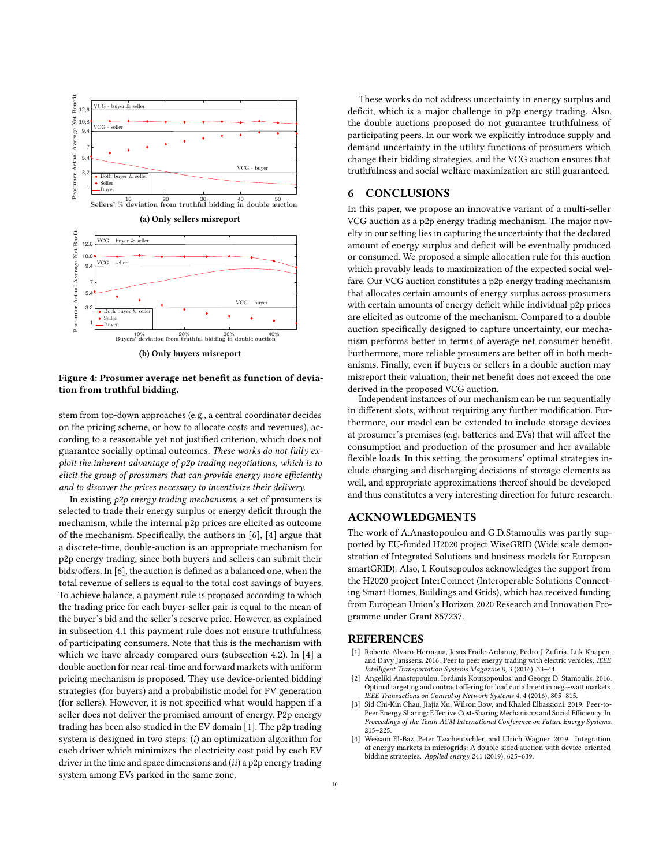<span id="page-9-2"></span>

Figure 4: Prosumer average net benefit as function of deviation from truthful bidding.

stem from top-down approaches (e.g., a central coordinator decides on the pricing scheme, or how to allocate costs and revenues), according to a reasonable yet not justified criterion, which does not guarantee socially optimal outcomes. These works do not fully exploit the inherent advantage of p2p trading negotiations, which is to elicit the group of prosumers that can provide energy more efficiently and to discover the prices necessary to incentivize their delivery.

In existing p2p energy trading mechanisms, a set of prosumers is selected to trade their energy surplus or energy deficit through the mechanism, while the internal p2p prices are elicited as outcome of the mechanism. Specifically, the authors in [\[6\]](#page-10-17), [\[4\]](#page-9-4) argue that a discrete-time, double-auction is an appropriate mechanism for p2p energy trading, since both buyers and sellers can submit their bids/offers. In [\[6\]](#page-10-17), the auction is defined as a balanced one, when the total revenue of sellers is equal to the total cost savings of buyers. To achieve balance, a payment rule is proposed according to which the trading price for each buyer-seller pair is equal to the mean of the buyer's bid and the seller's reserve price. However, as explained in subsection [4.1](#page-6-0) this payment rule does not ensure truthfulness of participating consumers. Note that this is the mechanism with which we have already compared ours (subsection [4.2\)](#page-6-1). In [\[4\]](#page-9-4) a double auction for near real-time and forward markets with uniform pricing mechanism is proposed. They use device-oriented bidding strategies (for buyers) and a probabilistic model for PV generation (for sellers). However, it is not specified what would happen if a seller does not deliver the promised amount of energy. P2p energy trading has been also studied in the EV domain [\[1\]](#page-9-5). The p2p trading system is designed in two steps:  $(i)$  an optimization algorithm for each driver which minimizes the electricity cost paid by each EV driver in the time and space dimensions and  $(ii)$  a p2p energy trading system among EVs parked in the same zone.

These works do not address uncertainty in energy surplus and deficit, which is a major challenge in p2p energy trading. Also, the double auctions proposed do not guarantee truthfulness of participating peers. In our work we explicitly introduce supply and demand uncertainty in the utility functions of prosumers which change their bidding strategies, and the VCG auction ensures that truthfulness and social welfare maximization are still guaranteed.

## <span id="page-9-0"></span>6 CONCLUSIONS

In this paper, we propose an innovative variant of a multi-seller VCG auction as a p2p energy trading mechanism. The major novelty in our setting lies in capturing the uncertainty that the declared amount of energy surplus and deficit will be eventually produced or consumed. We proposed a simple allocation rule for this auction which provably leads to maximization of the expected social welfare. Our VCG auction constitutes a p2p energy trading mechanism that allocates certain amounts of energy surplus across prosumers with certain amounts of energy deficit while individual p2p prices are elicited as outcome of the mechanism. Compared to a double auction specifically designed to capture uncertainty, our mechanism performs better in terms of average net consumer benefit. Furthermore, more reliable prosumers are better off in both mechanisms. Finally, even if buyers or sellers in a double auction may misreport their valuation, their net benefit does not exceed the one derived in the proposed VCG auction.

Independent instances of our mechanism can be run sequentially in different slots, without requiring any further modification. Furthermore, our model can be extended to include storage devices at prosumer's premises (e.g. batteries and EVs) that will affect the consumption and production of the prosumer and her available flexible loads. In this setting, the prosumers' optimal strategies include charging and discharging decisions of storage elements as well, and appropriate approximations thereof should be developed and thus constitutes a very interesting direction for future research.

### ACKNOWLEDGMENTS

The work of A.Anastopoulou and G.D.Stamoulis was partly supported by EU-funded H2020 project WiseGRID (Wide scale demonstration of Integrated Solutions and business models for European smartGRID). Also, I. Koutsopoulos acknowledges the support from the H2020 project InterConnect (Interoperable Solutions Connecting Smart Homes, Buildings and Grids), which has received funding from European Union's Horizon 2020 Research and Innovation Programme under Grant 857237.

### REFERENCES

- <span id="page-9-5"></span>[1] Roberto Alvaro-Hermana, Jesus Fraile-Ardanuy, Pedro J Zufiria, Luk Knapen, and Davy Janssens. 2016. Peer to peer energy trading with electric vehicles. IEEE Intelligent Transportation Systems Magazine 8, 3 (2016), 33–44.
- <span id="page-9-3"></span>Angeliki Anastopoulou, Iordanis Koutsopoulos, and George D. Stamoulis. 2016. Optimal targeting and contract offering for load curtailment in nega-watt markets. IEEE Transactions on Control of Network Systems 4, 4 (2016), 805–815.
- <span id="page-9-1"></span>Sid Chi-Kin Chau, Jiajia Xu, Wilson Bow, and Khaled Elbassioni. 2019. Peer-to-Peer Energy Sharing: Effective Cost-Sharing Mechanisms and Social Efficiency. In Proceedings of the Tenth ACM International Conference on Future Energy Systems. 215–225.
- <span id="page-9-4"></span>[4] Wessam El-Baz, Peter Tzscheutschler, and Ulrich Wagner. 2019. Integration of energy markets in microgrids: A double-sided auction with device-oriented bidding strategies. Applied energy 241 (2019), 625–639.